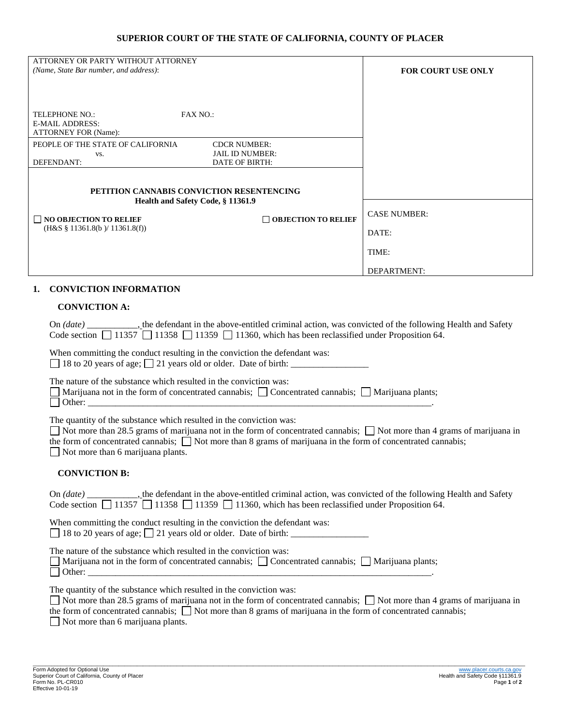## **SUPERIOR COURT OF THE STATE OF CALIFORNIA, COUNTY OF PLACER**

| ATTORNEY OR PARTY WITHOUT ATTORNEY                                             |                            |                           |
|--------------------------------------------------------------------------------|----------------------------|---------------------------|
| (Name, State Bar number, and address):                                         |                            | <b>FOR COURT USE ONLY</b> |
|                                                                                |                            |                           |
|                                                                                |                            |                           |
|                                                                                |                            |                           |
| TELEPHONE NO.:<br><b>FAX NO.:</b>                                              |                            |                           |
| <b>E-MAIL ADDRESS:</b>                                                         |                            |                           |
| <b>ATTORNEY FOR (Name):</b>                                                    |                            |                           |
| PEOPLE OF THE STATE OF CALIFORNIA                                              | <b>CDCR NUMBER:</b>        |                           |
| VS.                                                                            | <b>JAIL ID NUMBER:</b>     |                           |
| DEFENDANT:                                                                     | DATE OF BIRTH:             |                           |
|                                                                                |                            |                           |
| PETITION CANNABIS CONVICTION RESENTENCING<br>Health and Safety Code, § 11361.9 |                            |                           |
|                                                                                |                            |                           |
|                                                                                |                            |                           |
| $\Box$ NO OBJECTION TO RELIEF                                                  | $\Box$ OBJECTION TO RELIEF | <b>CASE NUMBER:</b>       |
| $(H&S \S 11361.8(b) / 11361.8(f))$                                             |                            | DATE:                     |
|                                                                                |                            | TIME:                     |
|                                                                                |                            | DEPARTMENT:               |

## **1. CONVICTION INFORMATION**

## **CONVICTION A:**

| On (date) _______________, the defendant in the above-entitled criminal action, was convicted of the following Health and Safety<br>Code section $\Box$ 11357 $\Box$ 11358 $\Box$ 11359 $\Box$ 11360, which has been reclassified under Proposition 64.                                                                                                                      |  |  |
|------------------------------------------------------------------------------------------------------------------------------------------------------------------------------------------------------------------------------------------------------------------------------------------------------------------------------------------------------------------------------|--|--|
| When committing the conduct resulting in the conviction the defendant was:<br>$\Box$ 18 to 20 years of age; $\Box$ 21 years old or older. Date of birth: $\Box$                                                                                                                                                                                                              |  |  |
| The nature of the substance which resulted in the conviction was:<br>Marijuana not in the form of concentrated cannabis; $\Box$ Concentrated cannabis; $\Box$ Marijuana plants;<br>$\mathbf{L}$                                                                                                                                                                              |  |  |
| The quantity of the substance which resulted in the conviction was:<br>$\Box$ Not more than 28.5 grams of marijuana not in the form of concentrated cannabis; $\Box$ Not more than 4 grams of marijuana in<br>the form of concentrated cannabis; $\Box$ Not more than 8 grams of marijuana in the form of concentrated cannabis;<br>$\Box$ Not more than 6 marijuana plants. |  |  |
| <b>CONVICTION B:</b>                                                                                                                                                                                                                                                                                                                                                         |  |  |
| Code section $\boxed{\phantom{0}}$ 11357 $\boxed{\phantom{0}}$ 11358 $\boxed{\phantom{0}}$ 11359 $\boxed{\phantom{0}}$ 11360, which has been reclassified under Proposition 64.                                                                                                                                                                                              |  |  |
| When committing the conduct resulting in the conviction the defendant was:<br>$\Box$ 18 to 20 years of age; $\Box$ 21 years old or older. Date of birth: $\Box$                                                                                                                                                                                                              |  |  |
| The nature of the substance which resulted in the conviction was:<br>Marijuana not in the form of concentrated cannabis; $\Box$ Concentrated cannabis; $\Box$ Marijuana plants;                                                                                                                                                                                              |  |  |
| The quantity of the substance which resulted in the conviction was:<br>$\Box$ Not more than 28.5 grams of marijuana not in the form of concentrated cannabis; $\Box$ Not more than 4 grams of marijuana in<br>the form of concentrated cannabis; $\Box$ Not more than 8 grams of marijuana in the form of concentrated cannabis;<br>$\Box$ Not more than 6 marijuana plants. |  |  |